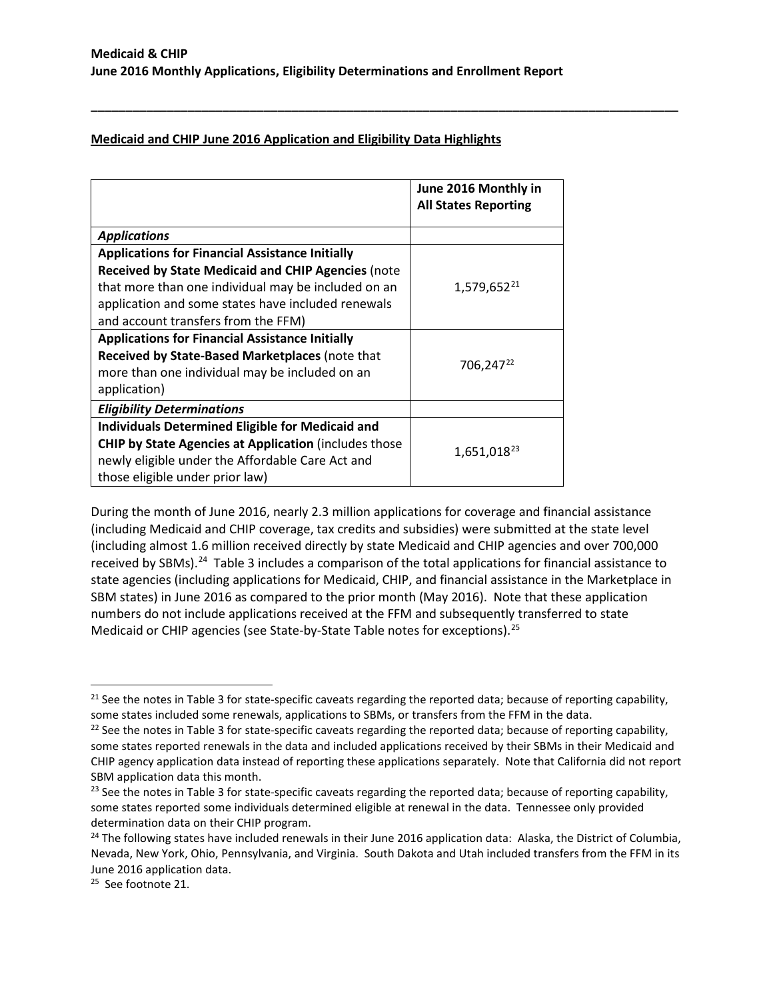**\_\_\_\_\_\_\_\_\_\_\_\_\_\_\_\_\_\_\_\_\_\_\_\_\_\_\_\_\_\_\_\_\_\_\_\_\_\_\_\_\_\_\_\_\_\_\_\_\_\_\_\_\_\_\_\_\_\_\_\_\_\_\_\_\_\_\_\_\_\_\_\_\_\_\_\_\_\_\_\_\_\_\_\_\_**

## **Medicaid and CHIP June 2016 Application and Eligibility Data Highlights**

|                                                               | June 2016 Monthly in<br><b>All States Reporting</b> |
|---------------------------------------------------------------|-----------------------------------------------------|
| <b>Applications</b>                                           |                                                     |
| <b>Applications for Financial Assistance Initially</b>        |                                                     |
| <b>Received by State Medicaid and CHIP Agencies (note</b>     |                                                     |
| that more than one individual may be included on an           | 1,579,652 <sup>21</sup>                             |
| application and some states have included renewals            |                                                     |
| and account transfers from the FFM)                           |                                                     |
| <b>Applications for Financial Assistance Initially</b>        |                                                     |
| Received by State-Based Marketplaces (note that               |                                                     |
| more than one individual may be included on an                | 706,247 <sup>22</sup>                               |
| application)                                                  |                                                     |
| <b>Eligibility Determinations</b>                             |                                                     |
| <b>Individuals Determined Eligible for Medicaid and</b>       |                                                     |
| <b>CHIP by State Agencies at Application (includes those)</b> | 1,651,018 <sup>23</sup>                             |
| newly eligible under the Affordable Care Act and              |                                                     |
| those eligible under prior law)                               |                                                     |

During the month of June 2016, nearly 2.3 million applications for coverage and financial assistance (including Medicaid and CHIP coverage, tax credits and subsidies) were submitted at the state level (including almost 1.6 million received directly by state Medicaid and CHIP agencies and over 700,000 received by SBMs).<sup>[24](#page-5-3)</sup> Table 3 includes a comparison of the total applications for financial assistance to state agencies (including applications for Medicaid, CHIP, and financial assistance in the Marketplace in SBM states) in June 2016 as compared to the prior month (May 2016). Note that these application numbers do not include applications received at the FFM and subsequently transferred to state Medicaid or CHIP agencies (see State-by-State Table notes for exceptions).[25](#page-5-4)

 $\overline{\phantom{a}}$ 

<span id="page-5-0"></span> $21$  See the notes in Table 3 for state-specific caveats regarding the reported data; because of reporting capability, some states included some renewals, applications to SBMs, or transfers from the FFM in the data.<br><sup>22</sup> See the notes in Table 3 for state-specific caveats regarding the reported data; because of reporting capability,

<span id="page-5-1"></span>some states reported renewals in the data and included applications received by their SBMs in their Medicaid and CHIP agency application data instead of reporting these applications separately. Note that California did not report SBM application data this month.

<span id="page-5-2"></span><sup>&</sup>lt;sup>23</sup> See the notes in Table 3 for state-specific caveats regarding the reported data; because of reporting capability, some states reported some individuals determined eligible at renewal in the data. Tennessee only provided determination data on their CHIP program.

<span id="page-5-3"></span><sup>&</sup>lt;sup>24</sup> The following states have included renewals in their June 2016 application data: Alaska, the District of Columbia, Nevada, New York, Ohio, Pennsylvania, and Virginia. South Dakota and Utah included transfers from the FFM in its June 2016 application data.<br><sup>25</sup> See footnote 21.

<span id="page-5-4"></span>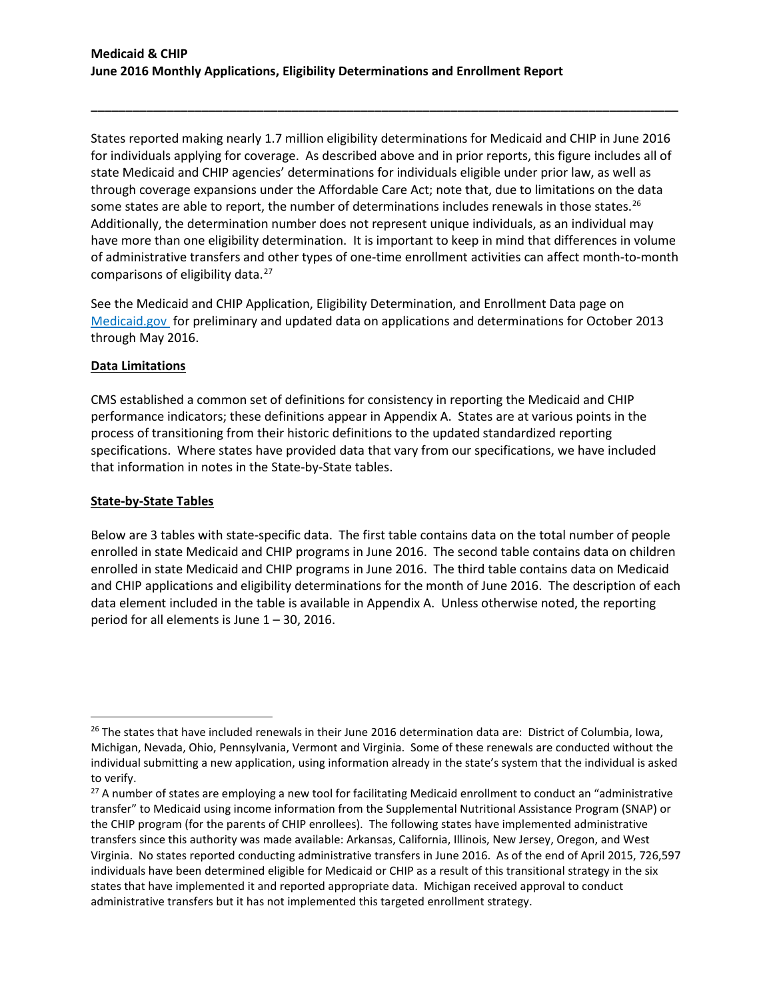States reported making nearly 1.7 million eligibility determinations for Medicaid and CHIP in June 2016 for individuals applying for coverage. As described above and in prior reports, this figure includes all of state Medicaid and CHIP agencies' determinations for individuals eligible under prior law, as well as through coverage expansions under the Affordable Care Act; note that, due to limitations on the data some states are able to report, the number of determinations includes renewals in those states.<sup>26</sup> Additionally, the determination number does not represent unique individuals, as an individual may have more than one eligibility determination. It is important to keep in mind that differences in volume of administrative transfers and other types of one-time enrollment activities can affect month-to-month comparisons of eligibility data.<sup>[27](#page-6-1)</sup>

**\_\_\_\_\_\_\_\_\_\_\_\_\_\_\_\_\_\_\_\_\_\_\_\_\_\_\_\_\_\_\_\_\_\_\_\_\_\_\_\_\_\_\_\_\_\_\_\_\_\_\_\_\_\_\_\_\_\_\_\_\_\_\_\_\_\_\_\_\_\_\_\_\_\_\_\_\_\_\_\_\_\_\_\_\_**

See the Medicaid and CHIP Application, Eligibility Determination, and Enrollment Data page on [Medicaid.gov](http://www.medicaid.gov/medicaid-chip-program-information/program-information/medicaid-and-chip-enrollment-data/medicaid-and-chip-application-eligibility-determination-and-enrollment-data.html) for preliminary and updated data on applications and determinations for October 2013 through May 2016.

#### **Data Limitations**

CMS established a common set of definitions for consistency in reporting the Medicaid and CHIP performance indicators; these definitions appear in Appendix A. States are at various points in the process of transitioning from their historic definitions to the updated standardized reporting specifications. Where states have provided data that vary from our specifications, we have included that information in notes in the State-by-State tables.

#### **State-by-State Tables**

 $\overline{a}$ 

Below are 3 tables with state-specific data. The first table contains data on the total number of people enrolled in state Medicaid and CHIP programs in June 2016. The second table contains data on children enrolled in state Medicaid and CHIP programs in June 2016. The third table contains data on Medicaid and CHIP applications and eligibility determinations for the month of June 2016. The description of each data element included in the table is available in Appendix A. Unless otherwise noted, the reporting period for all elements is June 1 – 30, 2016.

<span id="page-6-0"></span><sup>&</sup>lt;sup>26</sup> The states that have included renewals in their June 2016 determination data are: District of Columbia, Iowa, Michigan, Nevada, Ohio, Pennsylvania, Vermont and Virginia. Some of these renewals are conducted without the individual submitting a new application, using information already in the state's system that the individual is asked to verify.

<span id="page-6-1"></span><sup>&</sup>lt;sup>27</sup> A number of states are employing a new tool for facilitating Medicaid enrollment to conduct an "administrative transfer" to Medicaid using income information from the Supplemental Nutritional Assistance Program (SNAP) or the CHIP program (for the parents of CHIP enrollees). The following states have implemented administrative transfers since this authority was made available: Arkansas, California, Illinois, New Jersey, Oregon, and West Virginia. No states reported conducting administrative transfers in June 2016. As of the end of April 2015, 726,597 individuals have been determined eligible for Medicaid or CHIP as a result of this transitional strategy in the six states that have implemented it and reported appropriate data. Michigan received approval to conduct administrative transfers but it has not implemented this targeted enrollment strategy.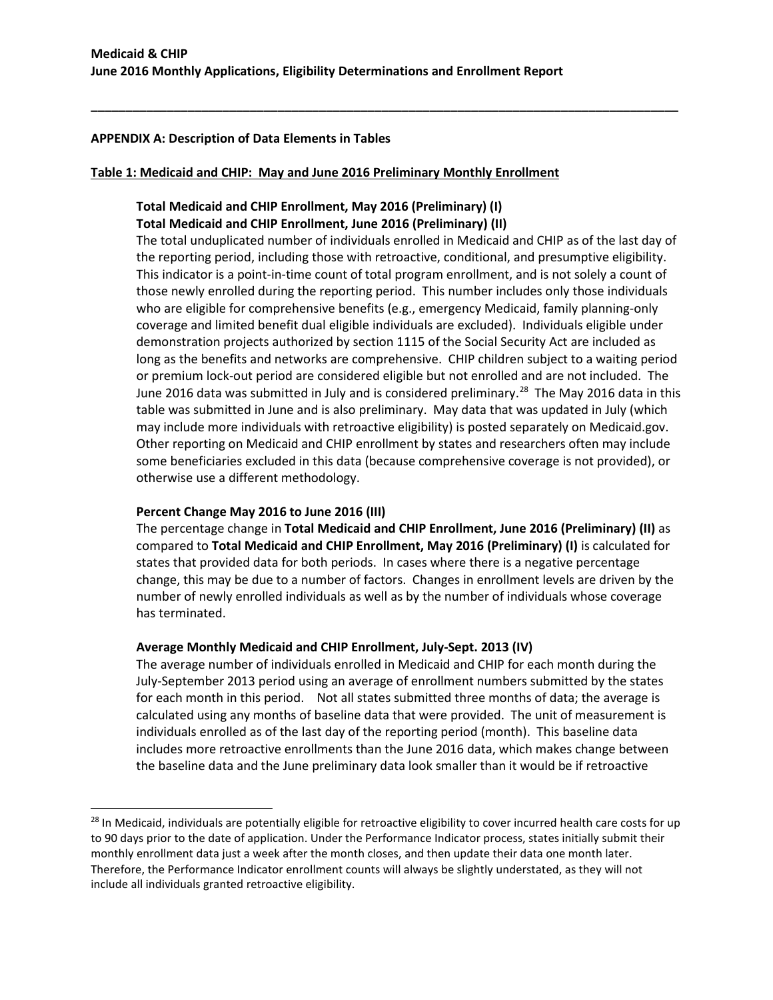**\_\_\_\_\_\_\_\_\_\_\_\_\_\_\_\_\_\_\_\_\_\_\_\_\_\_\_\_\_\_\_\_\_\_\_\_\_\_\_\_\_\_\_\_\_\_\_\_\_\_\_\_\_\_\_\_\_\_\_\_\_\_\_\_\_\_\_\_\_\_\_\_\_\_\_\_\_\_\_\_\_\_\_\_\_**

### **APPENDIX A: Description of Data Elements in Tables**

#### **Table 1: Medicaid and CHIP: May and June 2016 Preliminary Monthly Enrollment**

# **Total Medicaid and CHIP Enrollment, May 2016 (Preliminary) (I) Total Medicaid and CHIP Enrollment, June 2016 (Preliminary) (II)**

The total unduplicated number of individuals enrolled in Medicaid and CHIP as of the last day of the reporting period, including those with retroactive, conditional, and presumptive eligibility. This indicator is a point-in-time count of total program enrollment, and is not solely a count of those newly enrolled during the reporting period. This number includes only those individuals who are eligible for comprehensive benefits (e.g., emergency Medicaid, family planning-only coverage and limited benefit dual eligible individuals are excluded). Individuals eligible under demonstration projects authorized by section 1115 of the Social Security Act are included as long as the benefits and networks are comprehensive. CHIP children subject to a waiting period or premium lock-out period are considered eligible but not enrolled and are not included. The June 2016 data was submitted in July and is considered preliminary.<sup>28</sup> The May 2016 data in this table was submitted in June and is also preliminary. May data that was updated in July (which may include more individuals with retroactive eligibility) is posted separately on Medicaid.gov. Other reporting on Medicaid and CHIP enrollment by states and researchers often may include some beneficiaries excluded in this data (because comprehensive coverage is not provided), or otherwise use a different methodology.

## **Percent Change May 2016 to June 2016 (III)**

l

The percentage change in **Total Medicaid and CHIP Enrollment, June 2016 (Preliminary) (II)** as compared to **Total Medicaid and CHIP Enrollment, May 2016 (Preliminary) (I)** is calculated for states that provided data for both periods. In cases where there is a negative percentage change, this may be due to a number of factors. Changes in enrollment levels are driven by the number of newly enrolled individuals as well as by the number of individuals whose coverage has terminated.

## **Average Monthly Medicaid and CHIP Enrollment, July-Sept. 2013 (IV)**

The average number of individuals enrolled in Medicaid and CHIP for each month during the July-September 2013 period using an average of enrollment numbers submitted by the states for each month in this period. Not all states submitted three months of data; the average is calculated using any months of baseline data that were provided. The unit of measurement is individuals enrolled as of the last day of the reporting period (month). This baseline data includes more retroactive enrollments than the June 2016 data, which makes change between the baseline data and the June preliminary data look smaller than it would be if retroactive

<span id="page-7-0"></span><sup>&</sup>lt;sup>28</sup> In Medicaid, individuals are potentially eligible for retroactive eligibility to cover incurred health care costs for up to 90 days prior to the date of application. Under the Performance Indicator process, states initially submit their monthly enrollment data just a week after the month closes, and then update their data one month later. Therefore, the Performance Indicator enrollment counts will always be slightly understated, as they will not include all individuals granted retroactive eligibility.